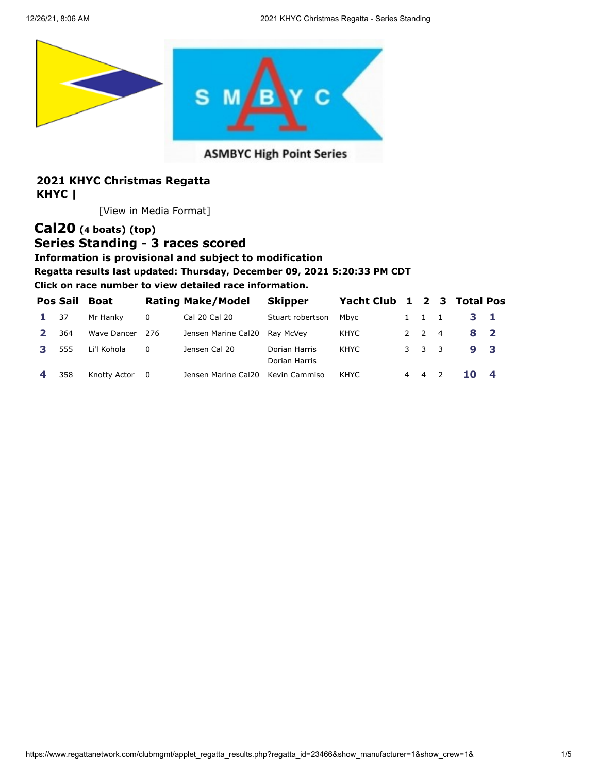<span id="page-0-0"></span>

### **ASMBYC High Point Series**

### **2021 KHYC Christmas Regatta KHYC |**

[[View in Media Format](https://www.regattanetwork.com/clubmgmt/applet_regatta_results.php?regatta_id=23466&show_manufacturer=1&show_crew=1&&media_format=1)]

# **[Cal20](https://www.regattanetwork.com/clubmgmt/applet_regatta_results.php?regatta_id=23466&show_manufacturer=1&show_crew=1&&limit_fleet=Cal20) (4 boats) [\(top\)](#page-0-0)**

# **Series Standing - 3 races scored**

**Information is provisional and subject to modification**

#### **Regatta results last updated: Thursday, December 09, 2021 5:20:33 PM CDT**

| <b>Pos Sail</b> | Boat         |          | <b>Rating Make/Model</b> | <b>Skipper</b>                 | Yacht Club 1 2 3 Total Pos |                     |                |  |
|-----------------|--------------|----------|--------------------------|--------------------------------|----------------------------|---------------------|----------------|--|
| 37              | Mr Hanky     | $\Omega$ | Cal 20 Cal 20            | Stuart robertson               | Mbvc                       | $1 \quad 1 \quad 1$ | $3 \quad 1$    |  |
| 364             | Wave Dancer  | 276      | Jensen Marine Cal20      | Rav McVev                      | KHYC                       | $2 \quad 2 \quad 4$ | 8 <sub>2</sub> |  |
| 555             | Li'l Kohola  | $\Omega$ | Jensen Cal 20            | Dorian Harris<br>Dorian Harris | KHYC                       | 3 3 3               | 9 3            |  |
| 358             | Knotty Actor | - 0      | Jensen Marine Cal20      | Kevin Cammiso                  | KHYC                       | 4 4 2               | $10\quad 4$    |  |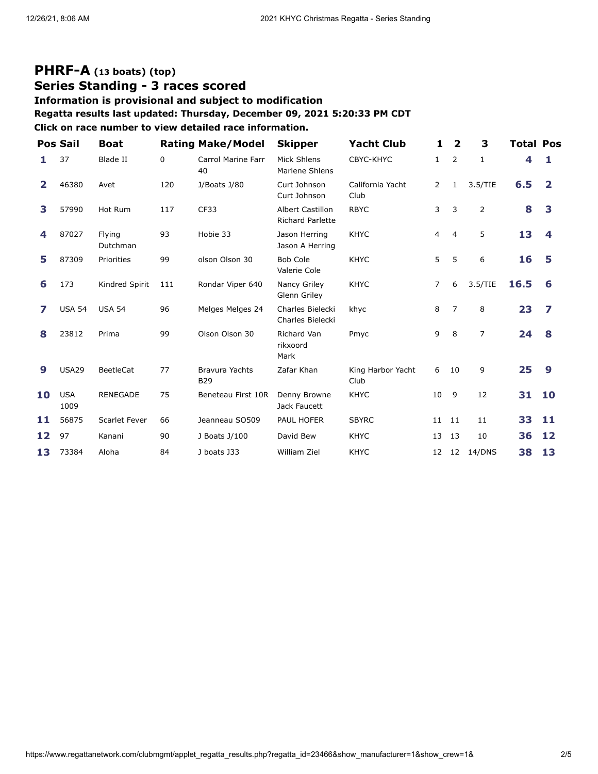## **[PHRF-A](https://www.regattanetwork.com/clubmgmt/applet_regatta_results.php?regatta_id=23466&show_manufacturer=1&show_crew=1&&limit_fleet=PHRF-A) (13 boats) [\(top\)](#page-0-0) Series Standing - 3 races scored**

### **Information is provisional and subject to modification**

**Regatta results last updated: Thursday, December 09, 2021 5:20:33 PM CDT**

|              | Pos Sail           | <b>Boat</b>        |     | <b>Rating Make/Model</b>            | <b>Skipper</b>                              | <b>Yacht Club</b>         | 1              | $\overline{\mathbf{2}}$ | 3              | <b>Total Pos</b> |              |
|--------------|--------------------|--------------------|-----|-------------------------------------|---------------------------------------------|---------------------------|----------------|-------------------------|----------------|------------------|--------------|
|              | 37                 | <b>Blade II</b>    | 0   | <b>Carrol Marine Farr</b><br>40     | Mick Shlens<br>Marlene Shlens               | CBYC-KHYC                 | $\mathbf{1}$   | 2                       | $\mathbf{1}$   |                  | 1.           |
| $\mathbf{2}$ | 46380              | Avet               | 120 | J/Boats J/80                        | Curt Johnson<br>Curt Johnson                | California Yacht<br>Club  | $\overline{2}$ | 1                       | 3.5/TIE        | 6.5              | $\mathbf{2}$ |
| 3            | 57990              | Hot Rum            | 117 | CF33                                | Albert Castillon<br><b>Richard Parlette</b> | <b>RBYC</b>               | 3              | 3                       | 2              | 8                | 3            |
| 4            | 87027              | Flying<br>Dutchman | 93  | Hobie 33                            | Jason Herring<br>Jason A Herring            | <b>KHYC</b>               | $\overline{4}$ | 4                       | 5              | 13               | 4            |
| 5            | 87309              | Priorities         | 99  | olson Olson 30                      | <b>Bob Cole</b><br>Valerie Cole             | <b>KHYC</b>               | 5              | 5                       | 6              | 16               | 5            |
| 6            | 173                | Kindred Spirit     | 111 | Rondar Viper 640                    | Nancy Griley<br>Glenn Griley                | <b>KHYC</b>               | $\overline{7}$ | 6                       | 3.5/TIE        | 16.5             | 6            |
|              | <b>USA 54</b>      | <b>USA 54</b>      | 96  | Melges Melges 24                    | Charles Bielecki<br>Charles Bielecki        | khyc                      | 8              | $\overline{7}$          | 8              | 23               | 7            |
| 8            | 23812              | Prima              | 99  | Olson Olson 30                      | <b>Richard Van</b><br>rikxoord<br>Mark      | Pmyc                      | 9              | 8                       | $\overline{7}$ | 24               | 8            |
| 9            | <b>USA29</b>       | BeetleCat          | 77  | <b>Bravura Yachts</b><br><b>B29</b> | Zafar Khan                                  | King Harbor Yacht<br>Club | 6              | 10                      | 9              | 25               | 9            |
| 10           | <b>USA</b><br>1009 | <b>RENEGADE</b>    | 75  | Beneteau First 10R                  | Denny Browne<br>Jack Faucett                | <b>KHYC</b>               | 10             | 9                       | 12             | 31               | 10           |
| 11           | 56875              | Scarlet Fever      | 66  | Jeanneau SO509                      | PAUL HOFER                                  | <b>SBYRC</b>              | 11             | 11                      | 11             | 33               | 11           |
| 12           | 97                 | Kanani             | 90  | J Boats J/100                       | David Bew                                   | <b>KHYC</b>               | 13             | 13                      | 10             | 36               | 12           |
| 13           | 73384              | Aloha              | 84  | J boats J33                         | <b>William Ziel</b>                         | <b>KHYC</b>               | 12             | 12                      | 14/DNS         | 38               | 13           |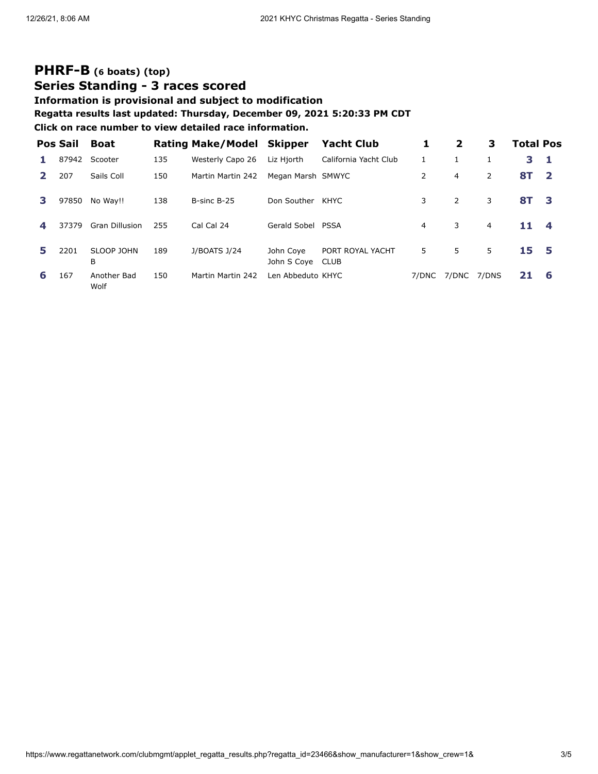# **[PHRF-B](https://www.regattanetwork.com/clubmgmt/applet_regatta_results.php?regatta_id=23466&show_manufacturer=1&show_crew=1&&limit_fleet=PHRF-B) (6 boats) [\(top\)](#page-0-0) Series Standing - 3 races scored**

### **Information is provisional and subject to modification**

#### **Regatta results last updated: Thursday, December 09, 2021 5:20:33 PM CDT**

|    | <b>Pos Sail</b> | <b>Boat</b>           |     | <b>Rating Make/Model Skipper</b> |                          | <b>Yacht Club</b>               | 1     | $\mathbf{2}$   | З              | <b>Total Pos</b> |                         |
|----|-----------------|-----------------------|-----|----------------------------------|--------------------------|---------------------------------|-------|----------------|----------------|------------------|-------------------------|
|    | 87942           | Scooter               | 135 | Westerly Capo 26                 | Liz Hjorth               | California Yacht Club           |       |                |                | 3.               | -1                      |
|    | 207             | Sails Coll            | 150 | Martin Martin 242                | Megan Marsh SMWYC        |                                 | 2     | $\overline{4}$ | $\overline{2}$ | 8T               | $\overline{\mathbf{2}}$ |
| З. | 97850           | No Way!!              | 138 | B-sinc B-25                      | Don Souther              | KHYC                            | 3     | 2              | 3              | 8T 3             |                         |
| 4  | 37379           | <b>Gran Dillusion</b> | 255 | Cal Cal 24                       | Gerald Sobel PSSA        |                                 | 4     | 3              | 4              | 11               | 4                       |
| 5. | 2201            | SLOOP JOHN<br>В       | 189 | J/BOATS J/24                     | John Coye<br>John S Coye | PORT ROYAL YACHT<br><b>CLUB</b> | 5     | 5.             | 5              | 15 5             |                         |
| 6  | 167             | Another Bad<br>Wolf   | 150 | Martin Martin 242                | Len Abbeduto KHYC        |                                 | 7/DNC | 7/DNC          | 7/DNS          | 21               | -6                      |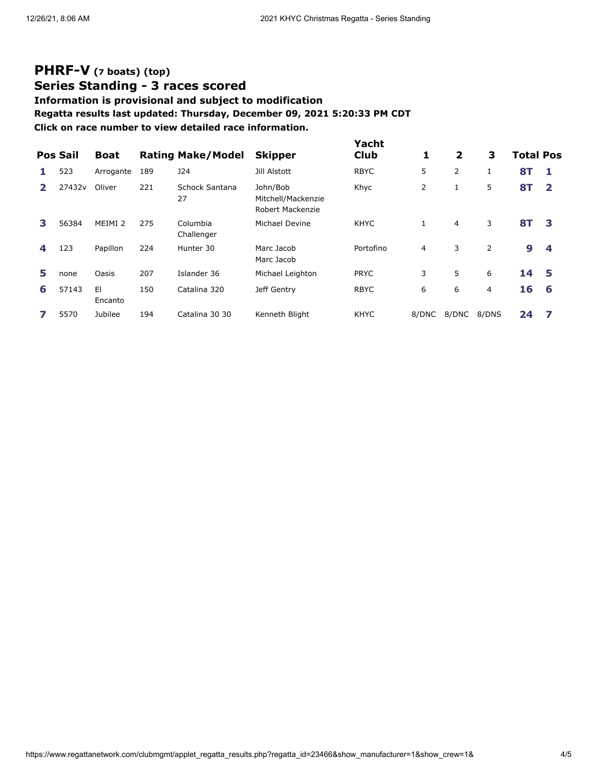# **[PHRF-V](https://www.regattanetwork.com/clubmgmt/applet_regatta_results.php?regatta_id=23466&show_manufacturer=1&show_crew=1&&limit_fleet=PHRF-V) (7 boats) [\(top\)](#page-0-0) Series Standing - 3 races scored**

# **Information is provisional and subject to modification Regatta results last updated: Thursday, December 09, 2021 5:20:33 PM CDT**

|   | <b>Pos Sail</b> | <b>Boat</b>        |     | <b>Rating Make/Model</b> | <b>Skipper</b>                                     | Yacht<br>Club | 1     | $\mathbf{2}$   | 3              | <b>Total Pos</b> |              |
|---|-----------------|--------------------|-----|--------------------------|----------------------------------------------------|---------------|-------|----------------|----------------|------------------|--------------|
|   | 523             | Arrogante          | 189 | <b>J24</b>               | Jill Alstott                                       | <b>RBYC</b>   | 5     | 2              | 1              | <b>8T</b>        | 1            |
|   | 27432v          | Oliver             | 221 | Schock Santana<br>27     | John/Bob<br>Mitchell/Mackenzie<br>Robert Mackenzie | Khyc          | 2     | 1              | 5              | <b>8T</b>        | $\mathbf{2}$ |
| 3 | 56384           | MEIMI <sub>2</sub> | 275 | Columbia<br>Challenger   | Michael Devine                                     | <b>KHYC</b>   |       | $\overline{4}$ | 3              | 8T               | 3            |
| 4 | 123             | Papillon           | 224 | Hunter 30                | Marc Jacob<br>Marc Jacob                           | Portofino     | 4     | 3              | $\overline{2}$ | 9                | 4            |
| 5 | none            | Oasis              | 207 | Islander 36              | Michael Leighton                                   | <b>PRYC</b>   | 3     | 5              | 6              | 14               | 5            |
| 6 | 57143           | E1<br>Encanto      | 150 | Catalina 320             | Jeff Gentry                                        | <b>RBYC</b>   | 6     | 6              | 4              | 16               | 6            |
|   | 5570            | Jubilee            | 194 | Catalina 30 30           | Kenneth Blight                                     | <b>KHYC</b>   | 8/DNC | 8/DNC          | 8/DNS          | 24               | 7            |